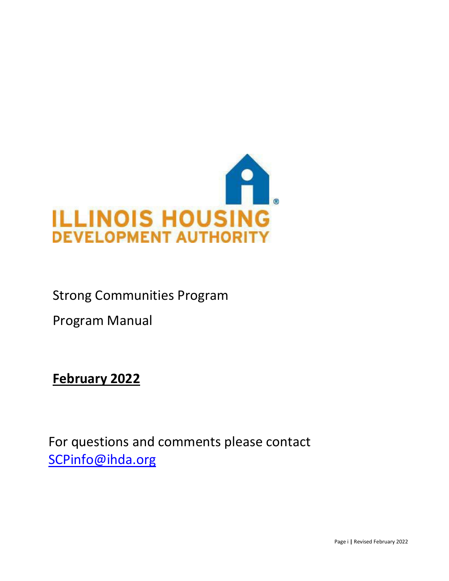

# Strong Communities Program

Program Manual

**February 2022**

For questions and comments please contact [SCPinfo@ihda.org](mailto:SCPinfo@ihda.org)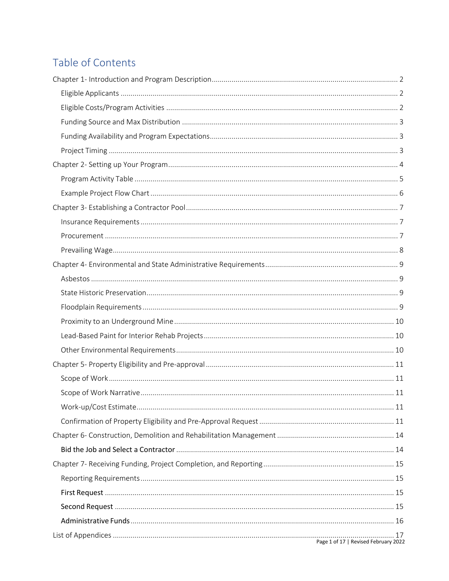# Table of Contents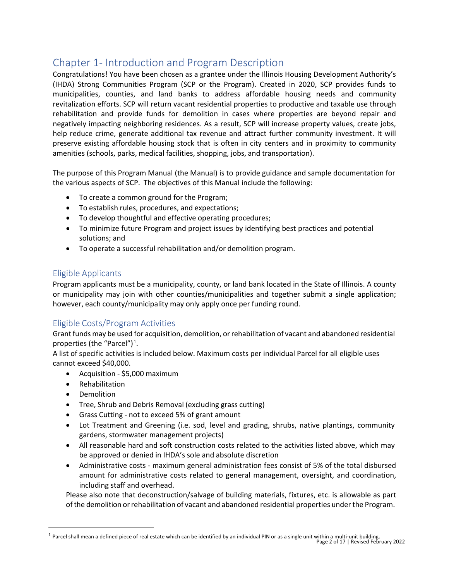## <span id="page-2-0"></span>Chapter 1- Introduction and Program Description

Congratulations! You have been chosen as a grantee under the Illinois Housing Development Authority's (IHDA) Strong Communities Program (SCP or the Program). Created in 2020, SCP provides funds to municipalities, counties, and land banks to address affordable housing needs and community revitalization efforts. SCP will return vacant residential properties to productive and taxable use through rehabilitation and provide funds for demolition in cases where properties are beyond repair and negatively impacting neighboring residences. As a result, SCP will increase property values, create jobs, help reduce crime, generate additional tax revenue and attract further community investment. It will preserve existing affordable housing stock that is often in city centers and in proximity to community amenities (schools, parks, medical facilities, shopping, jobs, and transportation).

The purpose of this Program Manual (the Manual) is to provide guidance and sample documentation for the various aspects of SCP. The objectives of this Manual include the following:

- To create a common ground for the Program;
- To establish rules, procedures, and expectations;
- To develop thoughtful and effective operating procedures;
- To minimize future Program and project issues by identifying best practices and potential solutions; and
- To operate a successful rehabilitation and/or demolition program.

### <span id="page-2-1"></span>Eligible Applicants

Program applicants must be a municipality, county, or land bank located in the State of Illinois. A county or municipality may join with other counties/municipalities and together submit a single application; however, each county/municipality may only apply once per funding round.

## <span id="page-2-2"></span>Eligible Costs/Program Activities

Grant funds may be used for acquisition, demolition, orrehabilitation of vacant and abandoned residential properties (the "Parcel")<sup>[1](#page-2-3)</sup>.

A list of specific activities is included below. Maximum costs per individual Parcel for all eligible uses cannot exceed \$40,000.

- Acquisition \$5,000 maximum
- **Rehabilitation**
- Demolition
- Tree, Shrub and Debris Removal (excluding grass cutting)
- Grass Cutting not to exceed 5% of grant amount
- Lot Treatment and Greening (i.e. sod, level and grading, shrubs, native plantings, community gardens, stormwater management projects)
- All reasonable hard and soft construction costs related to the activities listed above, which may be approved or denied in IHDA's sole and absolute discretion
- Administrative costs maximum general administration fees consist of 5% of the total disbursed amount for administrative costs related to general management, oversight, and coordination, including staff and overhead.

Please also note that deconstruction/salvage of building materials, fixtures, etc. is allowable as part ofthe demolition orrehabilitation of vacant and abandoned residential properties under the Program.

<span id="page-2-3"></span><sup>&</sup>lt;sup>1</sup> Parcel shall mean a defined piece of real estate which can be identified by an individual PIN or as a single unit within a multi-unit building.<br>Page 2 of 17 | Revised February 2022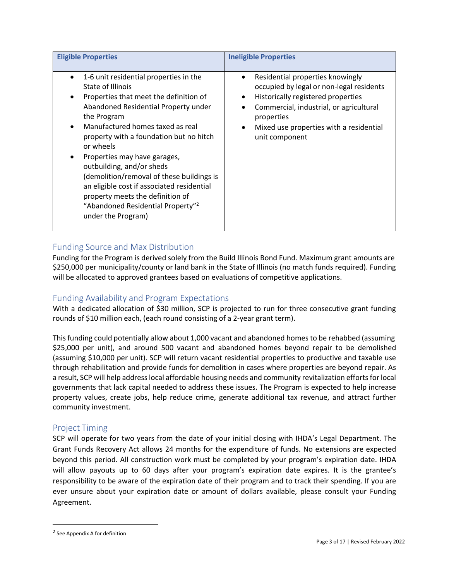| <b>Eligible Properties</b>                                                                                                                                                                                                                                                                                                                                                                                                                                                                                                                    | <b>Ineligible Properties</b>                                                                                                                                                                                                                          |
|-----------------------------------------------------------------------------------------------------------------------------------------------------------------------------------------------------------------------------------------------------------------------------------------------------------------------------------------------------------------------------------------------------------------------------------------------------------------------------------------------------------------------------------------------|-------------------------------------------------------------------------------------------------------------------------------------------------------------------------------------------------------------------------------------------------------|
| 1-6 unit residential properties in the<br>$\bullet$<br>State of Illinois<br>Properties that meet the definition of<br>Abandoned Residential Property under<br>the Program<br>Manufactured homes taxed as real<br>property with a foundation but no hitch<br>or wheels<br>Properties may have garages,<br>٠<br>outbuilding, and/or sheds<br>(demolition/removal of these buildings is<br>an eligible cost if associated residential<br>property meets the definition of<br>"Abandoned Residential Property" <sup>2</sup><br>under the Program) | Residential properties knowingly<br>$\bullet$<br>occupied by legal or non-legal residents<br>Historically registered properties<br>Commercial, industrial, or agricultural<br>properties<br>Mixed use properties with a residential<br>unit component |

### <span id="page-3-0"></span>Funding Source and Max Distribution

Funding for the Program is derived solely from the Build Illinois Bond Fund. Maximum grant amounts are \$250,000 per municipality/county or land bank in the State of Illinois (no match funds required). Funding will be allocated to approved grantees based on evaluations of competitive applications.

### <span id="page-3-1"></span>Funding Availability and Program Expectations

With a dedicated allocation of \$30 million, SCP is projected to run for three consecutive grant funding rounds of \$10 million each, (each round consisting of a 2-year grant term).

This funding could potentially allow about 1,000 vacant and abandoned homes to be rehabbed (assuming \$25,000 per unit), and around 500 vacant and abandoned homes beyond repair to be demolished (assuming \$10,000 per unit). SCP will return vacant residential properties to productive and taxable use through rehabilitation and provide funds for demolition in cases where properties are beyond repair. As a result, SCP will help addresslocal affordable housing needs and community revitalization efforts for local governments that lack capital needed to address these issues. The Program is expected to help increase property values, create jobs, help reduce crime, generate additional tax revenue, and attract further community investment.

#### <span id="page-3-2"></span>Project Timing

SCP will operate for two years from the date of your initial closing with IHDA's Legal Department. The Grant Funds Recovery Act allows 24 months for the expenditure of funds. No extensions are expected beyond this period. All construction work must be completed by your program's expiration date. IHDA will allow payouts up to 60 days after your program's expiration date expires. It is the grantee's responsibility to be aware of the expiration date of their program and to track their spending. If you are ever unsure about your expiration date or amount of dollars available, please consult your Funding Agreement.

<sup>2</sup> See Appendix A for definition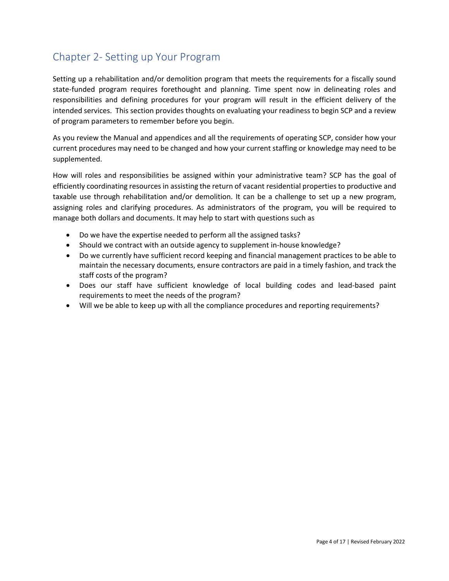## <span id="page-4-0"></span>Chapter 2- Setting up Your Program

Setting up a rehabilitation and/or demolition program that meets the requirements for a fiscally sound state-funded program requires forethought and planning. Time spent now in delineating roles and responsibilities and defining procedures for your program will result in the efficient delivery of the intended services. This section provides thoughts on evaluating your readiness to begin SCP and a review of program parameters to remember before you begin.

As you review the Manual and appendices and all the requirements of operating SCP, consider how your current procedures may need to be changed and how your current staffing or knowledge may need to be supplemented.

How will roles and responsibilities be assigned within your administrative team? SCP has the goal of efficiently coordinating resourcesin assisting the return of vacant residential properties to productive and taxable use through rehabilitation and/or demolition. It can be a challenge to set up a new program, assigning roles and clarifying procedures. As administrators of the program, you will be required to manage both dollars and documents. It may help to start with questions such as

- Do we have the expertise needed to perform all the assigned tasks?
- Should we contract with an outside agency to supplement in-house knowledge?
- Do we currently have sufficient record keeping and financial management practices to be able to maintain the necessary documents, ensure contractors are paid in a timely fashion, and track the staff costs of the program?
- Does our staff have sufficient knowledge of local building codes and lead-based paint requirements to meet the needs of the program?
- Will we be able to keep up with all the compliance procedures and reporting requirements?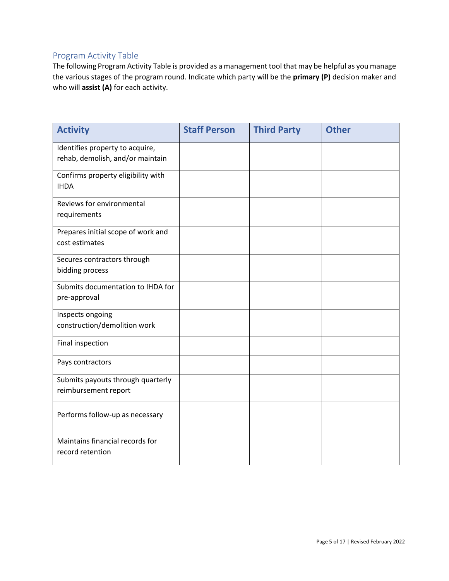### <span id="page-5-0"></span>Program Activity Table

The following Program Activity Table is provided as a management tool that may be helpful as you manage the various stages of the program round. Indicate which party will be the **primary (P)** decision maker and who will **assist (A)** for each activity.

| <b>Activity</b>                                      | <b>Staff Person</b> | <b>Third Party</b> | <b>Other</b> |
|------------------------------------------------------|---------------------|--------------------|--------------|
| Identifies property to acquire,                      |                     |                    |              |
| rehab, demolish, and/or maintain                     |                     |                    |              |
| Confirms property eligibility with<br><b>IHDA</b>    |                     |                    |              |
|                                                      |                     |                    |              |
| Reviews for environmental<br>requirements            |                     |                    |              |
|                                                      |                     |                    |              |
| Prepares initial scope of work and<br>cost estimates |                     |                    |              |
|                                                      |                     |                    |              |
| Secures contractors through<br>bidding process       |                     |                    |              |
|                                                      |                     |                    |              |
| Submits documentation to IHDA for<br>pre-approval    |                     |                    |              |
|                                                      |                     |                    |              |
| Inspects ongoing<br>construction/demolition work     |                     |                    |              |
| Final inspection                                     |                     |                    |              |
|                                                      |                     |                    |              |
| Pays contractors                                     |                     |                    |              |
| Submits payouts through quarterly                    |                     |                    |              |
| reimbursement report                                 |                     |                    |              |
| Performs follow-up as necessary                      |                     |                    |              |
|                                                      |                     |                    |              |
| Maintains financial records for                      |                     |                    |              |
| record retention                                     |                     |                    |              |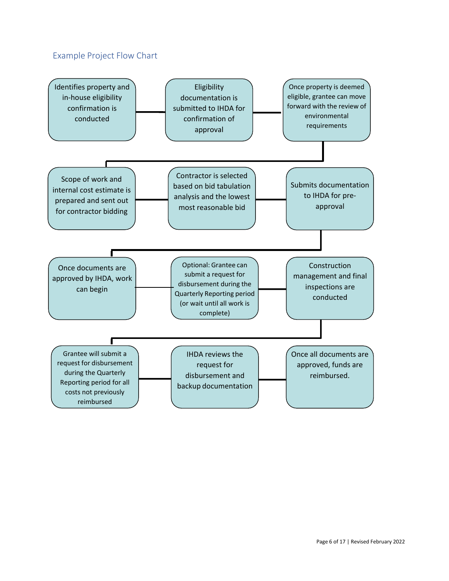## <span id="page-6-0"></span>Example Project Flow Chart

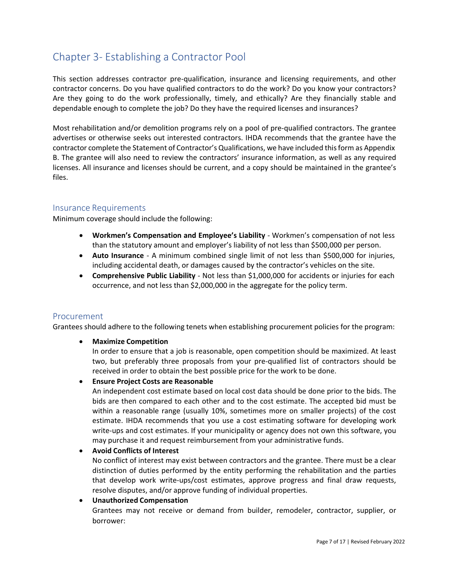## <span id="page-7-0"></span>Chapter 3- Establishing a Contractor Pool

This section addresses contractor pre-qualification, insurance and licensing requirements, and other contractor concerns. Do you have qualified contractors to do the work? Do you know your contractors? Are they going to do the work professionally, timely, and ethically? Are they financially stable and dependable enough to complete the job? Do they have the required licenses and insurances?

Most rehabilitation and/or demolition programs rely on a pool of pre-qualified contractors. The grantee advertises or otherwise seeks out interested contractors. IHDA recommends that the grantee have the contractor complete the Statement of Contractor's Qualifications, we have included this form as Appendix B. The grantee will also need to review the contractors' insurance information, as well as any required licenses. All insurance and licenses should be current, and a copy should be maintained in the grantee's files.

#### <span id="page-7-1"></span>Insurance Requirements

Minimum coverage should include the following:

- **Workmen's Compensation and Employee's Liability** Workmen's compensation of not less than the statutory amount and employer's liability of not less than \$500,000 per person.
- **Auto Insurance** A minimum combined single limit of not less than \$500,000 for injuries, including accidental death, or damages caused by the contractor's vehicles on the site.
- **Comprehensive Public Liability** Not less than \$1,000,000 for accidents or injuries for each occurrence, and not less than \$2,000,000 in the aggregate for the policy term.

#### <span id="page-7-2"></span>Procurement

Grantees should adhere to the following tenets when establishing procurement policies for the program:

#### • **Maximize Competition**

In order to ensure that a job is reasonable, open competition should be maximized. At least two, but preferably three proposals from your pre-qualified list of contractors should be received in order to obtain the best possible price for the work to be done.

#### • **Ensure Project Costs are Reasonable**

An independent cost estimate based on local cost data should be done prior to the bids. The bids are then compared to each other and to the cost estimate. The accepted bid must be within a reasonable range (usually 10%, sometimes more on smaller projects) of the cost estimate. IHDA recommends that you use a cost estimating software for developing work write-ups and cost estimates. If your municipality or agency does not own this software, you may purchase it and request reimbursement from your administrative funds.

#### • **Avoid Conflicts of Interest**

No conflict of interest may exist between contractors and the grantee. There must be a clear distinction of duties performed by the entity performing the rehabilitation and the parties that develop work write-ups/cost estimates, approve progress and final draw requests, resolve disputes, and/or approve funding of individual properties.

#### • **Unauthorized Compensation**

Grantees may not receive or demand from builder, remodeler, contractor, supplier, or borrower: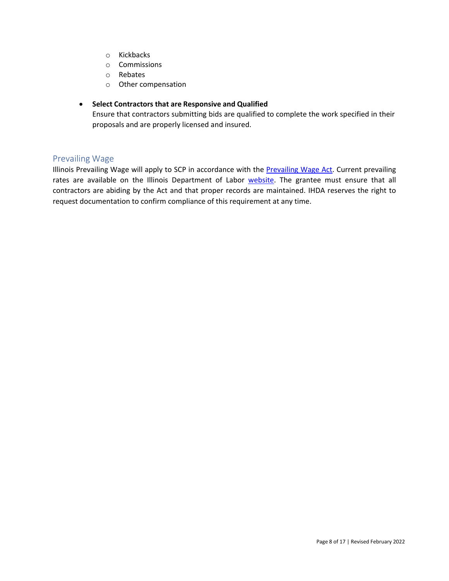- o Kickbacks
- o Commissions
- o Rebates
- o Other compensation

#### • **Select Contractors that are Responsive and Qualified**

Ensure that contractors submitting bids are qualified to complete the work specified in their proposals and are properly licensed and insured.

#### <span id="page-8-0"></span>Prevailing Wage

Illinois Prevailing Wage will apply to SCP in accordance with the [Prevailing Wage Act.](https://www.ilga.gov/legislation/ilcs/ilcs3.asp?ActID=2405&ChapterID=68) Current prevailing rates are available on the Illinois Department of Labor [website.](https://www2.illinois.gov/idol/Laws-Rules/CONMED/Pages/current-prevailing-rates.aspx) The grantee must ensure that all contractors are abiding by the Act and that proper records are maintained. IHDA reserves the right to request documentation to confirm compliance of this requirement at any time.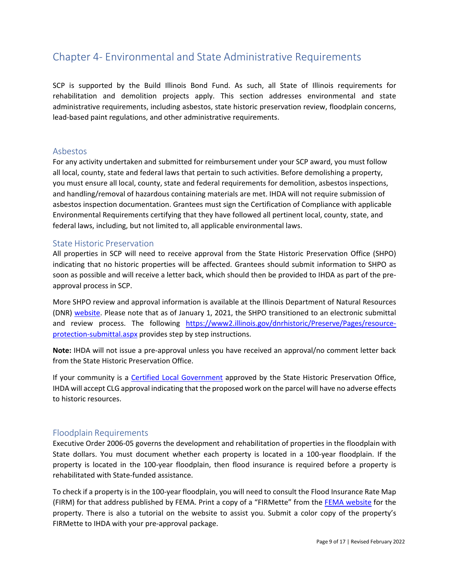## <span id="page-9-0"></span>Chapter 4- Environmental and State Administrative Requirements

SCP is supported by the Build Illinois Bond Fund. As such, all State of Illinois requirements for rehabilitation and demolition projects apply. This section addresses environmental and state administrative requirements, including asbestos, state historic preservation review, floodplain concerns, lead-based paint regulations, and other administrative requirements.

#### <span id="page-9-1"></span>Asbestos

For any activity undertaken and submitted for reimbursement under your SCP award, you must follow all local, county, state and federal laws that pertain to such activities. Before demolishing a property, you must ensure all local, county, state and federal requirements for demolition, asbestos inspections, and handling/removal of hazardous containing materials are met. IHDA will not require submission of asbestos inspection documentation. Grantees must sign the Certification of Compliance with applicable Environmental Requirements certifying that they have followed all pertinent local, county, state, and federal laws, including, but not limited to, all applicable environmental laws.

#### <span id="page-9-2"></span>State Historic Preservation

All properties in SCP will need to receive approval from the State Historic Preservation Office (SHPO) indicating that no historic properties will be affected. Grantees should submit information to SHPO as soon as possible and will receive a letter back, which should then be provided to IHDA as part of the preapproval process in SCP.

More SHPO review and approval information is available at the Illinois Department of Natural Resources (DNR) [website.](https://www2.illinois.gov/dnrhistoric/Preserve/Pages/Resource-Protection.aspx) Please note that as of January 1, 2021, the SHPO transitioned to an electronic submittal and review process. The following [https://www2.illinois.gov/dnrhistoric/Preserve/Pages/resource](https://www2.illinois.gov/dnrhistoric/Preserve/Pages/resource-protection-submittal.aspx)[protection-submittal.aspx](https://www2.illinois.gov/dnrhistoric/Preserve/Pages/resource-protection-submittal.aspx) provides step by step instructions.

**Note:** IHDA will not issue a pre-approval unless you have received an approval/no comment letter back from the State Historic Preservation Office.

If your community is a [Certified Local Government](https://www2.illinois.gov/dnrhistoric/Preserve/Pages/community.aspx) approved by the State Historic Preservation Office, IHDA will accept CLG approval indicating that the proposed work on the parcel will have no adverse effects to historic resources.

#### <span id="page-9-3"></span>Floodplain Requirements

Executive Order 2006-05 governs the development and rehabilitation of properties in the floodplain with State dollars. You must document whether each property is located in a 100-year floodplain. If the property is located in the 100-year floodplain, then flood insurance is required before a property is rehabilitated with State-funded assistance.

To check if a property is in the 100-year floodplain, you will need to consult the Flood Insurance Rate Map (FIRM) for that address published by FEMA. Print a copy of a "FIRMette" from the [FEMA website](https://msc.fema.gov/portal) for the property. There is also a tutorial on the website to assist you. Submit a color copy of the property's FIRMette to IHDA with your pre-approval package.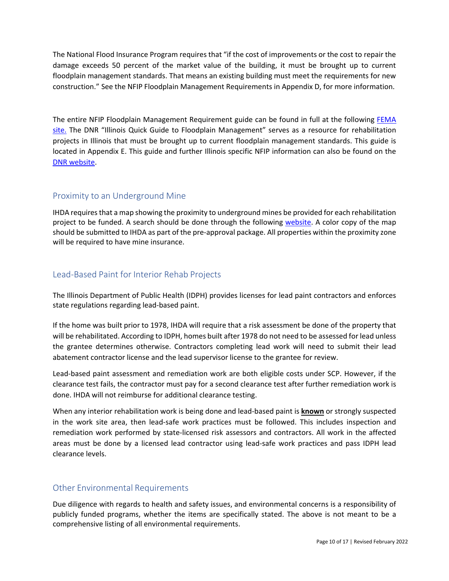The National Flood Insurance Program requires that "if the cost of improvements or the cost to repair the damage exceeds 50 percent of the market value of the building, it must be brought up to current floodplain management standards. That means an existing building must meet the requirements for new construction." See the NFIP Floodplain Management Requirements in Appendix D, for more information.

The entire NFIP Floodplain Management Requirement guide can be found in full at the following **FEMA** [site.](https://www.fema.gov/floodplain-management-requirements) The DNR "Illinois Quick Guide to Floodplain Management" serves as a resource for rehabilitation projects in Illinois that must be brought up to current floodplain management standards. This guide is located in Appendix E. This guide and further Illinois specific NFIP information can also be found on the [DNR website.](https://www2.illinois.gov/dnr/WaterResources/Pages/default.aspx)

### <span id="page-10-0"></span>Proximity to an Underground Mine

IHDA requiresthat a map showing the proximity to underground mines be provided for each rehabilitation project to be funded. A search should be done through the following [website.](http://isgs.illinois.edu/ilmines) A color copy of the map should be submitted to IHDA as part of the pre-approval package. All properties within the proximity zone will be required to have mine insurance.

### <span id="page-10-1"></span>Lead-Based Paint for Interior Rehab Projects

The Illinois Department of Public Health (IDPH) provides licenses for lead paint contractors and enforces state regulations regarding lead-based paint.

If the home was built prior to 1978, IHDA will require that a risk assessment be done of the property that will be rehabilitated. According to IDPH, homes built after 1978 do not need to be assessed for lead unless the grantee determines otherwise. Contractors completing lead work will need to submit their lead abatement contractor license and the lead supervisor license to the grantee for review.

Lead-based paint assessment and remediation work are both eligible costs under SCP. However, if the clearance test fails, the contractor must pay for a second clearance test after further remediation work is done. IHDA will not reimburse for additional clearance testing.

When any interior rehabilitation work is being done and lead-based paint is **known** or strongly suspected in the work site area, then lead-safe work practices must be followed. This includes inspection and remediation work performed by state-licensed risk assessors and contractors. All work in the affected areas must be done by a licensed lead contractor using lead-safe work practices and pass IDPH lead clearance levels.

#### <span id="page-10-2"></span>Other Environmental Requirements

Due diligence with regards to health and safety issues, and environmental concerns is a responsibility of publicly funded programs, whether the items are specifically stated. The above is not meant to be a comprehensive listing of all environmental requirements.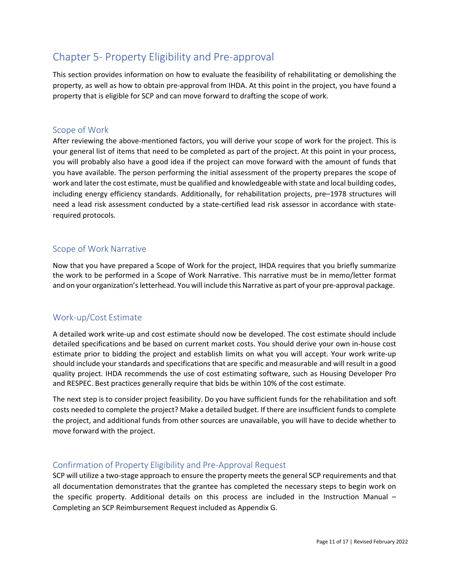## <span id="page-11-0"></span>Chapter 5- Property Eligibility and Pre-approval

This section provides information on how to evaluate the feasibility of rehabilitating or demolishing the property, as well as how to obtain pre-approval from IHDA. At this point in the project, you have found a property that is eligible for SCP and can move forward to drafting the scope of work.

#### <span id="page-11-1"></span>Scope of Work

After reviewing the above-mentioned factors, you will derive your scope of work for the project. This is your general list of items that need to be completed as part of the project. At this point in your process, you will probably also have a good idea if the project can move forward with the amount of funds that you have available. The person performing the initial assessment of the property prepares the scope of work and later the cost estimate, must be qualified and knowledgeable with state and local building codes, including energy efficiency standards. Additionally, for rehabilitation projects, pre–1978 structures will need a lead risk assessment conducted by a state-certified lead risk assessor in accordance with staterequired protocols.

#### <span id="page-11-2"></span>Scope of Work Narrative

Now that you have prepared a Scope of Work for the project, IHDA requires that you briefly summarize the work to be performed in a Scope of Work Narrative. This narrative must be in memo/letter format and on your organization'sletterhead. You will include this Narrative as part of your pre-approval package.

#### <span id="page-11-3"></span>Work-up/Cost Estimate

A detailed work write-up and cost estimate should now be developed. The cost estimate should include detailed specifications and be based on current market costs. You should derive your own in-house cost estimate prior to bidding the project and establish limits on what you will accept. Your work write-up should include your standards and specifications that are specific and measurable and will result in a good quality project. IHDA recommends the use of cost estimating software, such as Housing Developer Pro and RESPEC. Best practices generally require that bids be within 10% of the cost estimate.

The next step is to consider project feasibility. Do you have sufficient funds for the rehabilitation and soft costs needed to complete the project? Make a detailed budget. If there are insufficient fundsto complete the project, and additional funds from other sources are unavailable, you will have to decide whether to move forward with the project.

#### <span id="page-11-4"></span>Confirmation of Property Eligibility and Pre-Approval Request

SCP will utilize a two-stage approach to ensure the property meets the general SCP requirements and that all documentation demonstrates that the grantee has completed the necessary steps to begin work on the specific property. Additional details on this process are included in the Instruction Manual – Completing an SCP Reimbursement Request included as Appendix G.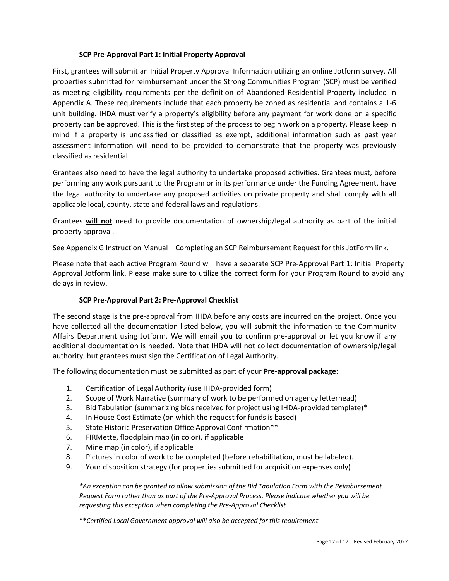#### **SCP Pre-Approval Part 1: Initial Property Approval**

First, grantees will submit an Initial Property Approval Information utilizing an online Jotform survey. All properties submitted for reimbursement under the Strong Communities Program (SCP) must be verified as meeting eligibility requirements per the definition of Abandoned Residential Property included in Appendix A. These requirements include that each property be zoned as residential and contains a 1-6 unit building. IHDA must verify a property's eligibility before any payment for work done on a specific property can be approved. This is the first step of the process to begin work on a property. Please keep in mind if a property is unclassified or classified as exempt, additional information such as past year assessment information will need to be provided to demonstrate that the property was previously classified as residential.

Grantees also need to have the legal authority to undertake proposed activities. Grantees must, before performing any work pursuant to the Program or in its performance under the Funding Agreement, have the legal authority to undertake any proposed activities on private property and shall comply with all applicable local, county, state and federal laws and regulations.

Grantees **will not** need to provide documentation of ownership/legal authority as part of the initial property approval.

See Appendix G Instruction Manual – Completing an SCP Reimbursement Request for this JotForm link.

Please note that each active Program Round will have a separate SCP Pre-Approval Part 1: Initial Property Approval Jotform link. Please make sure to utilize the correct form for your Program Round to avoid any delays in review.

#### **SCP Pre-Approval Part 2: Pre-Approval Checklist**

The second stage is the pre-approval from IHDA before any costs are incurred on the project. Once you have collected all the documentation listed below, you will submit the information to the Community Affairs Department using Jotform. We will email you to confirm pre-approval or let you know if any additional documentation is needed. Note that IHDA will not collect documentation of ownership/legal authority, but grantees must sign the Certification of Legal Authority.

The following documentation must be submitted as part of your **Pre-approval package:**

- 1. Certification of Legal Authority (use IHDA-provided form)
- 2. Scope of Work Narrative (summary of work to be performed on agency letterhead)
- 3. Bid Tabulation (summarizing bids received for project using IHDA-provided template)\*
- 4. In House Cost Estimate (on which the request for funds is based)
- 5. State Historic Preservation Office Approval Confirmation\*\*
- 6. FIRMette, floodplain map (in color), if applicable
- 7. Mine map (in color), if applicable
- 8. Pictures in color of work to be completed (before rehabilitation, must be labeled).
- 9. Your disposition strategy (for properties submitted for acquisition expenses only)

*\*An exception can be granted to allow submission of the Bid Tabulation Form with the Reimbursement Request Form rather than as part of the Pre-Approval Process. Please indicate whether you will be requesting this exception when completing the Pre-Approval Checklist*

\*\**Certified Local Government approval will also be accepted for this requirement*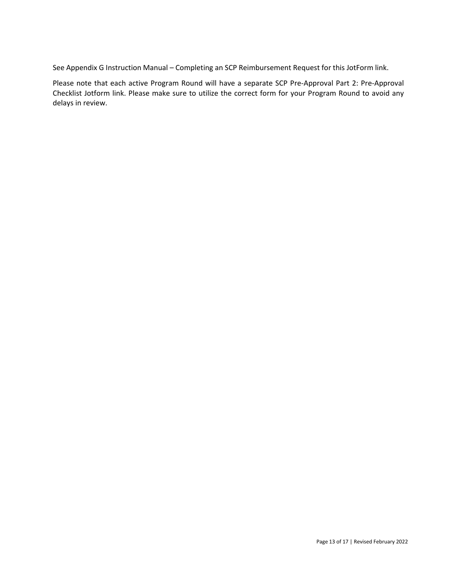See Appendix G Instruction Manual – Completing an SCP Reimbursement Request for this JotForm link.

Please note that each active Program Round will have a separate SCP Pre-Approval Part 2: Pre-Approval Checklist Jotform link. Please make sure to utilize the correct form for your Program Round to avoid any delays in review.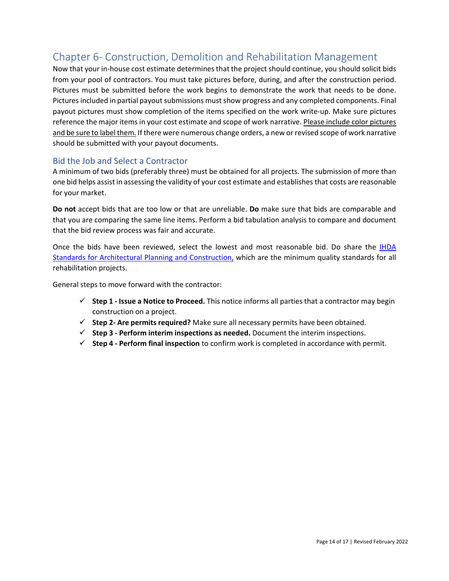## <span id="page-14-0"></span>Chapter 6- Construction, Demolition and Rehabilitation Management

Now that your in-house cost estimate determinesthat the project should continue, you should solicit bids from your pool of contractors. You must take pictures before, during, and after the construction period. Pictures must be submitted before the work begins to demonstrate the work that needs to be done. Pictures included in partial payout submissions must show progress and any completed components. Final payout pictures must show completion of the items specified on the work write-up. Make sure pictures reference the major items in your cost estimate and scope of work narrative. Please include color pictures and be sure to label them. If there were numerous change orders, a new or revised scope of work narrative should be submitted with your payout documents.

#### <span id="page-14-1"></span>Bid the Job and Select a Contractor

A minimum of two bids (preferably three) must be obtained for all projects. The submission of more than one bid helps assist in assessing the validity of your cost estimate and establishesthat costs are reasonable for your market.

**Do not** accept bids that are too low or that are unreliable. **Do** make sure that bids are comparable and that you are comparing the same line items. Perform a bid tabulation analysis to compare and document that the bid review process was fair and accurate.

Once the bids have been reviewed, select the lowest and most reasonable bid. Do share the [IHDA](https://www.ihda.org/wp-content/uploads/2015/07/IHDA-Standards-for-Architectural-Planning-and-Construction-2019-FINAL.pdf) [Standards for Architectural Planning and Construction,](https://www.ihda.org/wp-content/uploads/2015/07/IHDA-Standards-for-Architectural-Planning-and-Construction-2019-FINAL.pdf) which are the minimum quality standards for all rehabilitation projects.

General steps to move forward with the contractor:

- **Step 1 - Issue a Notice to Proceed.** This notice informs all parties that a contractor may begin construction on a project.
- **Step 2- Are permits required?** Make sure all necessary permits have been obtained.
- **Step 3 - Perform interim inspections as needed.** Document the interim inspections.
- **Step 4 - Perform final inspection** to confirm work is completed in accordance with permit.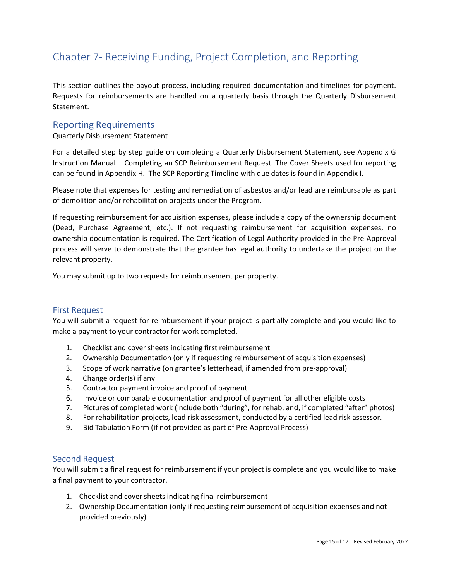## <span id="page-15-0"></span>Chapter 7- Receiving Funding, Project Completion, and Reporting

This section outlines the payout process, including required documentation and timelines for payment. Requests for reimbursements are handled on a quarterly basis through the Quarterly Disbursement Statement.

#### <span id="page-15-1"></span>Reporting Requirements

#### Quarterly Disbursement Statement

For a detailed step by step guide on completing a Quarterly Disbursement Statement, see Appendix G Instruction Manual – Completing an SCP Reimbursement Request. The Cover Sheets used for reporting can be found in Appendix H. The SCP Reporting Timeline with due dates is found in Appendix I.

Please note that expenses for testing and remediation of asbestos and/or lead are reimbursable as part of demolition and/or rehabilitation projects under the Program.

If requesting reimbursement for acquisition expenses, please include a copy of the ownership document (Deed, Purchase Agreement, etc.). If not requesting reimbursement for acquisition expenses, no ownership documentation is required. The Certification of Legal Authority provided in the Pre-Approval process will serve to demonstrate that the grantee has legal authority to undertake the project on the relevant property.

You may submit up to two requests for reimbursement per property.

#### <span id="page-15-2"></span>First Request

You will submit a request for reimbursement if your project is partially complete and you would like to make a payment to your contractor for work completed.

- 1. Checklist and cover sheets indicating first reimbursement
- 2. Ownership Documentation (only if requesting reimbursement of acquisition expenses)
- 3. Scope of work narrative (on grantee's letterhead, if amended from pre-approval)
- 4. Change order(s) if any
- 5. Contractor payment invoice and proof of payment
- 6. Invoice or comparable documentation and proof of payment for all other eligible costs
- 7. Pictures of completed work (include both "during", for rehab, and, if completed "after" photos)
- 8. For rehabilitation projects, lead risk assessment, conducted by a certified lead risk assessor.
- 9. Bid Tabulation Form (if not provided as part of Pre-Approval Process)

#### <span id="page-15-3"></span>Second Request

You will submit a final request for reimbursement if your project is complete and you would like to make a final payment to your contractor.

- 1. Checklist and cover sheets indicating final reimbursement
- 2. Ownership Documentation (only if requesting reimbursement of acquisition expenses and not provided previously)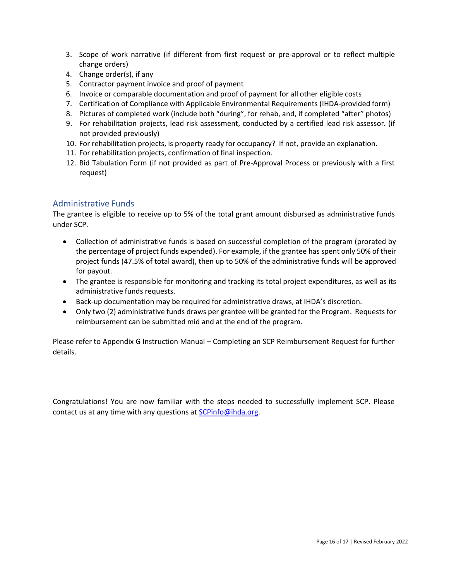- 3. Scope of work narrative (if different from first request or pre-approval or to reflect multiple change orders)
- 4. Change order(s), if any
- 5. Contractor payment invoice and proof of payment
- 6. Invoice or comparable documentation and proof of payment for all other eligible costs
- 7. Certification of Compliance with Applicable Environmental Requirements (IHDA-provided form)
- 8. Pictures of completed work (include both "during", for rehab, and, if completed "after" photos)
- 9. For rehabilitation projects, lead risk assessment, conducted by a certified lead risk assessor. (if not provided previously)
- 10. For rehabilitation projects, is property ready for occupancy? If not, provide an explanation.
- 11. For rehabilitation projects, confirmation of final inspection.
- 12. Bid Tabulation Form (if not provided as part of Pre-Approval Process or previously with a first request)

### <span id="page-16-0"></span>Administrative Funds

The grantee is eligible to receive up to 5% of the total grant amount disbursed as administrative funds under SCP.

- Collection of administrative funds is based on successful completion of the program (prorated by the percentage of project funds expended). For example, if the grantee has spent only 50% of their project funds (47.5% of total award), then up to 50% of the administrative funds will be approved for payout.
- The grantee is responsible for monitoring and tracking its total project expenditures, as well as its administrative funds requests.
- Back-up documentation may be required for administrative draws, at IHDA's discretion.
- Only two (2) administrative funds draws per grantee will be granted for the Program. Requests for reimbursement can be submitted mid and at the end of the program.

Please refer to Appendix G Instruction Manual – Completing an SCP Reimbursement Request for further details.

Congratulations! You are now familiar with the steps needed to successfully implement SCP. Please contact us at any time with any questions at [SCPinfo@ihda.org.](mailto:SCPinfo@ihda.org)